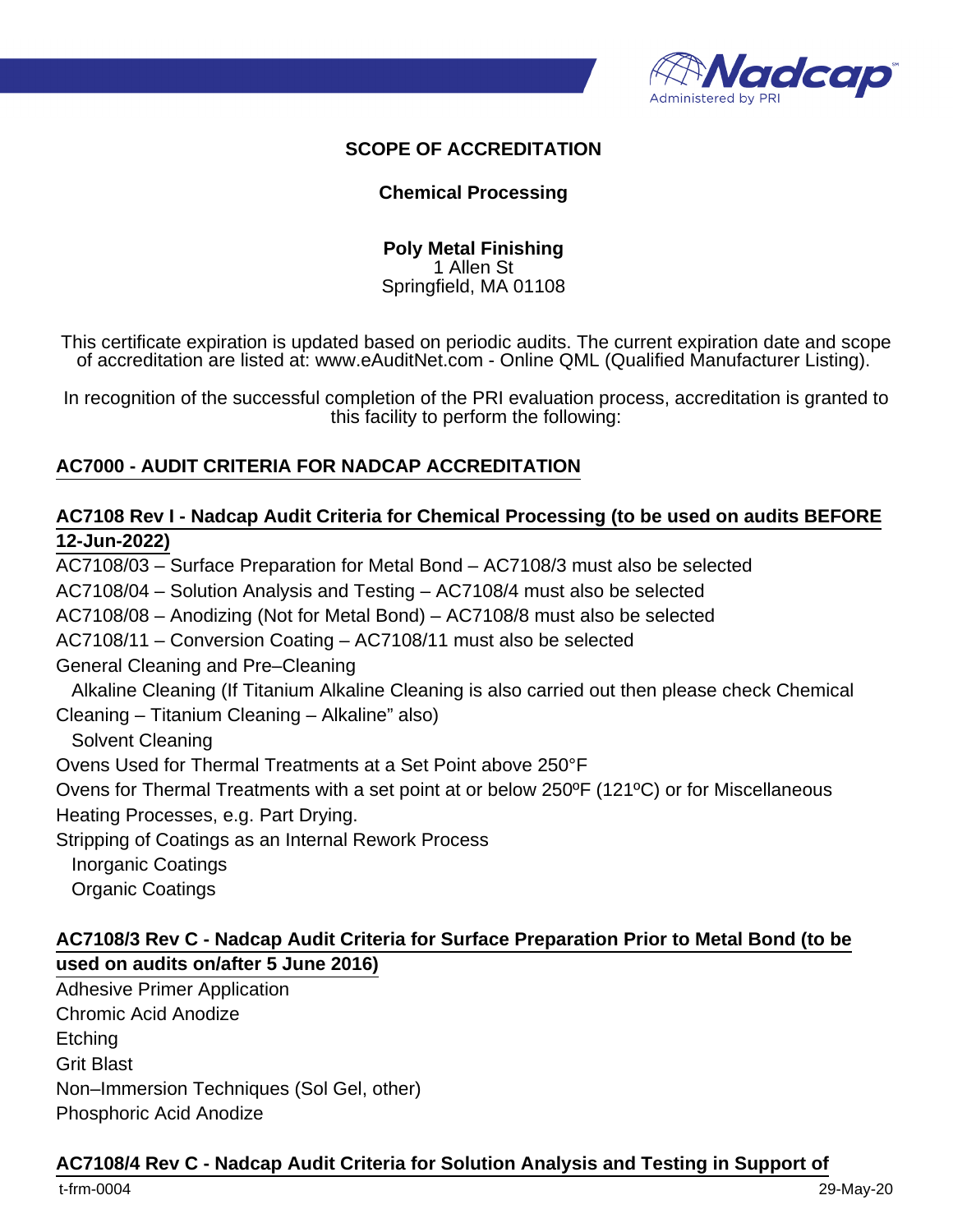

#### **SCOPE OF ACCREDITATION**

#### **Chemical Processing**

**Poly Metal Finishing** 1 Allen St Springfield, MA 01108

This certificate expiration is updated based on periodic audits. The current expiration date and scope of accreditation are listed at: www.eAuditNet.com - Online QML (Qualified Manufacturer Listing).

In recognition of the successful completion of the PRI evaluation process, accreditation is granted to this facility to perform the following:

#### **AC7000 - AUDIT CRITERIA FOR NADCAP ACCREDITATION**

#### **AC7108 Rev I - Nadcap Audit Criteria for Chemical Processing (to be used on audits BEFORE 12-Jun-2022)**

AC7108/03 – Surface Preparation for Metal Bond – AC7108/3 must also be selected AC7108/04 – Solution Analysis and Testing – AC7108/4 must also be selected AC7108/08 – Anodizing (Not for Metal Bond) – AC7108/8 must also be selected AC7108/11 – Conversion Coating – AC7108/11 must also be selected General Cleaning and Pre–Cleaning Alkaline Cleaning (If Titanium Alkaline Cleaning is also carried out then please check Chemical Cleaning – Titanium Cleaning – Alkaline" also) Solvent Cleaning Ovens Used for Thermal Treatments at a Set Point above 250°F Ovens for Thermal Treatments with a set point at or below 250ºF (121ºC) or for Miscellaneous Heating Processes, e.g. Part Drying. Stripping of Coatings as an Internal Rework Process Inorganic Coatings Organic Coatings

#### **AC7108/3 Rev C - Nadcap Audit Criteria for Surface Preparation Prior to Metal Bond (to be used on audits on/after 5 June 2016)**

Adhesive Primer Application Chromic Acid Anodize **Etching** Grit Blast Non–Immersion Techniques (Sol Gel, other) Phosphoric Acid Anodize

#### **AC7108/4 Rev C - Nadcap Audit Criteria for Solution Analysis and Testing in Support of**

t-frm-0004 29-May-20